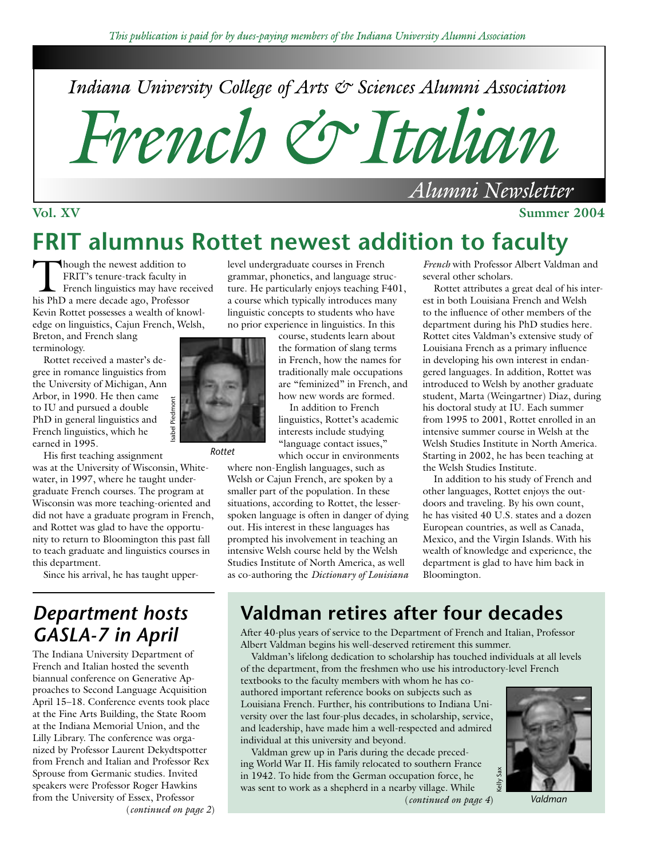Indiana University College of Arts & Sciences Alumni Association

French & Italian

#### **Vol. XV** Summer 2004

# **FRIT alumnus Rottet newest addition to faculty**

Though the newest addition to<br>
FRIT's tenure-track faculty in<br>
French linguistics may have received<br>
his PbD a mere decade ago. Professor FRIT's tenure-track faculty in his PhD a mere decade ago, Professor Kevin Rottet possesses a wealth of knowledge on linguistics, Cajun French, Welsh, Breton, and French slang

terminology.

Rottet received a master's degree in romance linguistics from the University of Michigan, Ann Arbor, in 1990. He then came to IU and pursued a double PhD in general linguistics and French linguistics, which he earned in 1995.

His first teaching assignment was at the University of Wisconsin, Whitewater, in 1997, where he taught undergraduate French courses. The program at Wisconsin was more teaching-oriented and did not have a graduate program in French, and Rottet was glad to have the opportunity to return to Bloomington this past fall to teach graduate and linguistics courses in this department.

Since his arrival, he has taught upper-

## *Department hosts GASLA-7 in April*

The Indiana University Department of French and Italian hosted the seventh biannual conference on Generative Approaches to Second Language Acquisition April 15–18. Conference events took place at the Fine Arts Building, the State Room at the Indiana Memorial Union, and the Lilly Library. The conference was organized by Professor Laurent Dekydtspotter from French and Italian and Professor Rex Sprouse from Germanic studies. Invited speakers were Professor Roger Hawkins from the University of Essex, Professor (*continued on page 2*) level undergraduate courses in French grammar, phonetics, and language structure. He particularly enjoys teaching F401, a course which typically introduces many linguistic concepts to students who have no prior experience in linguistics. In this

course, students learn about the formation of slang terms in French, how the names for traditionally male occupations are "feminized" in French, and how new words are formed.

In addition to French linguistics, Rottet's academic interests include studying "language contact issues," which occur in environments

where non-English languages, such as Welsh or Cajun French, are spoken by a smaller part of the population. In these situations, according to Rottet, the lesserspoken language is often in danger of dying out. His interest in these languages has prompted his involvement in teaching an intensive Welsh course held by the Welsh Studies Institute of North America, as well as co-authoring the *Dictionary of Louisiana* 

*French* with Professor Albert Valdman and several other scholars.

Alumni Newsletter

Rottet attributes a great deal of his interest in both Louisiana French and Welsh to the influence of other members of the department during his PhD studies here. Rottet cites Valdman's extensive study of Louisiana French as a primary influence in developing his own interest in endangered languages. In addition, Rottet was introduced to Welsh by another graduate student, Marta (Weingartner) Diaz, during his doctoral study at IU. Each summer from 1995 to 2001, Rottet enrolled in an intensive summer course in Welsh at the Welsh Studies Institute in North America. Starting in 2002, he has been teaching at the Welsh Studies Institute.

In addition to his study of French and other languages, Rottet enjoys the outdoors and traveling. By his own count, he has visited 40 U.S. states and a dozen European countries, as well as Canada, Mexico, and the Virgin Islands. With his wealth of knowledge and experience, the department is glad to have him back in Bloomington.



*Rottet*

## **Valdman retires after four decades**

After 40-plus years of service to the Department of French and Italian, Professor Albert Valdman begins his well-deserved retirement this summer.

Valdman's lifelong dedication to scholarship has touched individuals at all levels of the department, from the freshmen who use his introductory-level French

textbooks to the faculty members with whom he has coauthored important reference books on subjects such as Louisiana French. Further, his contributions to Indiana University over the last four-plus decades, in scholarship, service, and leadership, have made him a well-respected and admired individual at this university and beyond.

Valdman grew up in Paris during the decade preceding World War II. His family relocated to southern France in 1942. To hide from the German occupation force, he was sent to work as a shepherd in a nearby village. While (*continued on page 4*) *Valdman*

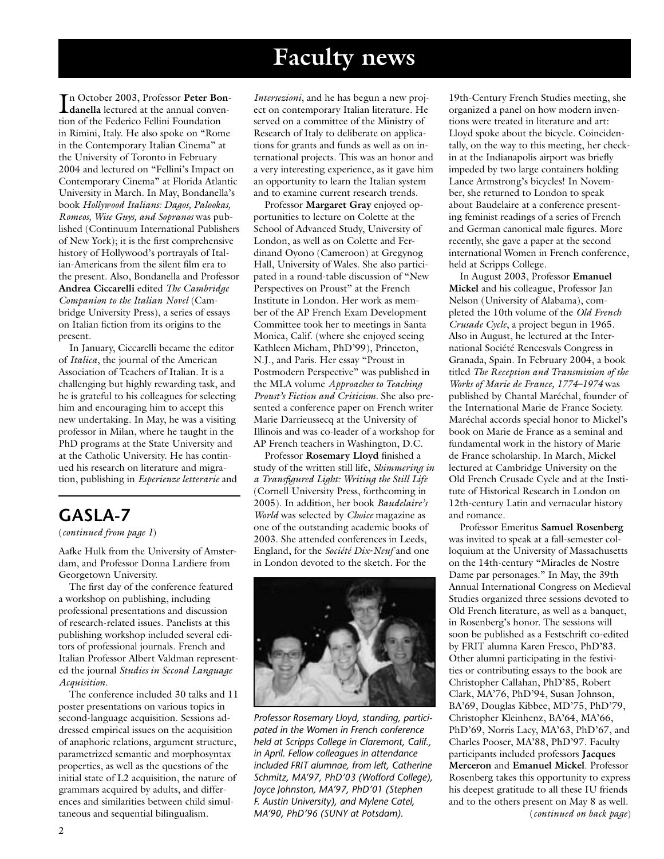# **Faculty news**

In October 2003, Professor Peter Bon-<br> **danella** lectured at the annual conven**danella** lectured at the annual convention of the Federico Fellini Foundation in Rimini, Italy. He also spoke on "Rome in the Contemporary Italian Cinema" at the University of Toronto in February 2004 and lectured on "Fellini's Impact on Contemporary Cinema" at Florida Atlantic University in March. In May, Bondanella's book *Hollywood Italians: Dagos, Palookas, Romeos, Wise Guys, and Sopranos* was published (Continuum International Publishers of New York); it is the first comprehensive history of Hollywood's portrayals of Italian-Americans from the silent film era to the present. Also, Bondanella and Professor **Andrea Ciccarelli** edited *The Cambridge Companion to the Italian Novel* (Cambridge University Press), a series of essays on Italian fiction from its origins to the present.

In January, Ciccarelli became the editor of *Italica*, the journal of the American Association of Teachers of Italian. It is a challenging but highly rewarding task, and he is grateful to his colleagues for selecting him and encouraging him to accept this new undertaking. In May, he was a visiting professor in Milan, where he taught in the PhD programs at the State University and at the Catholic University. He has continued his research on literature and migration, publishing in *Esperienze letterarie* and

### **GASLA-7**

(*continued from page 1*)

Aafke Hulk from the University of Amsterdam, and Professor Donna Lardiere from Georgetown University.

The first day of the conference featured a workshop on publishing, including professional presentations and discussion of research-related issues. Panelists at this publishing workshop included several editors of professional journals. French and Italian Professor Albert Valdman represented the journal *Studies in Second Language Acquisition*.

The conference included 30 talks and 11 poster presentations on various topics in second-language acquisition. Sessions addressed empirical issues on the acquisition of anaphoric relations, argument structure, parametrized semantic and morphosyntax properties, as well as the questions of the initial state of L2 acquisition, the nature of grammars acquired by adults, and differences and similarities between child simultaneous and sequential bilingualism.

*Intersezioni*, and he has begun a new project on contemporary Italian literature. He served on a committee of the Ministry of Research of Italy to deliberate on applications for grants and funds as well as on international projects. This was an honor and a very interesting experience, as it gave him an opportunity to learn the Italian system and to examine current research trends.

Professor **Margaret Gray** enjoyed opportunities to lecture on Colette at the School of Advanced Study, University of London, as well as on Colette and Ferdinand Oyono (Cameroon) at Gregynog Hall, University of Wales. She also participated in a round-table discussion of "New Perspectives on Proust" at the French Institute in London. Her work as member of the AP French Exam Development Committee took her to meetings in Santa Monica, Calif. (where she enjoyed seeing Kathleen Micham, PhD'99), Princeton, N.J., and Paris. Her essay "Proust in Postmodern Perspective" was published in the MLA volume *Approaches to Teaching Proust's Fiction and Criticism.* She also presented a conference paper on French writer Marie Darrieussecq at the University of Illinois and was co-leader of a workshop for AP French teachers in Washington, D.C.

Professor **Rosemary Lloyd** finished a study of the written still life, *Shimmering in a Transfigured Light: Writing the Still Life* (Cornell University Press, forthcoming in 2005). In addition, her book *Baudelaire's World* was selected by *Choice* magazine as one of the outstanding academic books of 2003. She attended conferences in Leeds, England, for the *Société Dix-Neuf* and one in London devoted to the sketch. For the



*Professor Rosemary Lloyd, standing, participated in the Women in French conference held at Scripps College in Claremont, Calif., in April. Fellow colleagues in attendance included FRIT alumnae, from left, Catherine Schmitz, MA'97, PhD'03 (Wofford College), Joyce Johnston, MA'97, PhD'01 (Stephen F. Austin University), and Mylene Catel, MA'90, PhD'96 (SUNY at Potsdam).*

19th-Century French Studies meeting, she organized a panel on how modern inventions were treated in literature and art: Lloyd spoke about the bicycle. Coincidentally, on the way to this meeting, her checkin at the Indianapolis airport was briefly impeded by two large containers holding Lance Armstrong's bicycles! In November, she returned to London to speak about Baudelaire at a conference presenting feminist readings of a series of French and German canonical male figures. More recently, she gave a paper at the second international Women in French conference, held at Scripps College.

In August 2003, Professor **Emanuel Mickel** and his colleague, Professor Jan Nelson (University of Alabama), completed the 10th volume of the *Old French Crusade Cycle*, a project begun in 1965. Also in August, he lectured at the International Société Rencesvals Congress in Granada, Spain. In February 2004, a book titled *The Reception and Transmission of the Works of Marie de France, 1774–1974* was published by Chantal Maréchal, founder of the International Marie de France Society. Maréchal accords special honor to Mickel's book on Marie de France as a seminal and fundamental work in the history of Marie de France scholarship. In March, Mickel lectured at Cambridge University on the Old French Crusade Cycle and at the Institute of Historical Research in London on 12th-century Latin and vernacular history and romance.

Professor Emeritus **Samuel Rosenberg** was invited to speak at a fall-semester colloquium at the University of Massachusetts on the 14th-century "Miracles de Nostre Dame par personages." In May, the 39th Annual International Congress on Medieval Studies organized three sessions devoted to Old French literature, as well as a banquet, in Rosenberg's honor. The sessions will soon be published as a Festschrift co-edited by FRIT alumna Karen Fresco, PhD'83. Other alumni participating in the festivities or contributing essays to the book are Christopher Callahan, PhD'85, Robert Clark, MA'76, PhD'94, Susan Johnson, BA'69, Douglas Kibbee, MD'75, PhD'79, Christopher Kleinhenz, BA'64, MA'66, PhD'69, Norris Lacy, MA'63, PhD'67, and Charles Pooser, MA'88, PhD'97. Faculty participants included professors **Jacques Merceron** and **Emanuel Mickel**. Professor Rosenberg takes this opportunity to express his deepest gratitude to all these IU friends and to the others present on May 8 as well.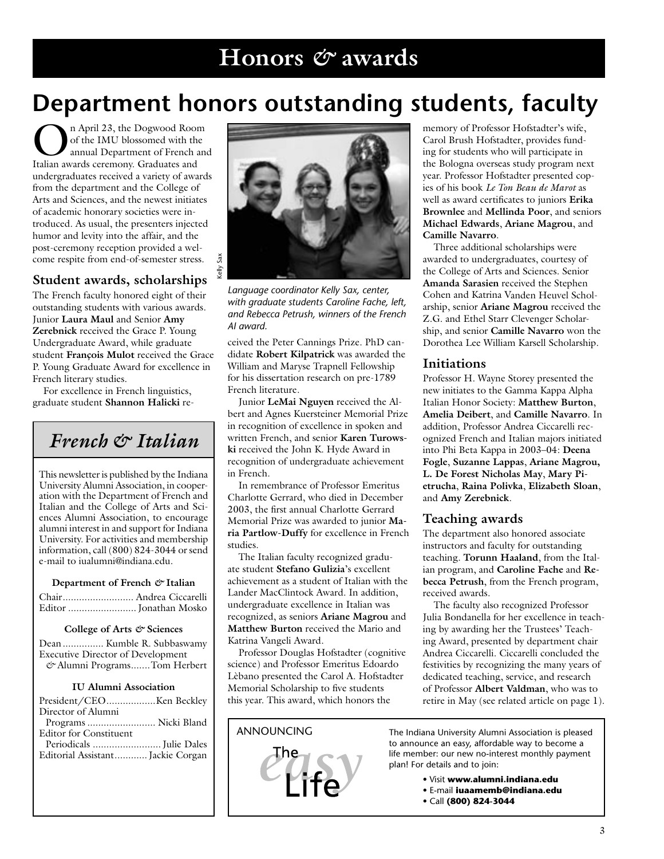# **Department honors outstanding students, faculty**

**On April 23, the Dogwood Room<br>
of the IMU blossomed with the<br>
Italian awards ceremony Graduates and** of the IMU blossomed with the Italian awards ceremony. Graduates and undergraduates received a variety of awards from the department and the College of Arts and Sciences, and the newest initiates of academic honorary societies were introduced. As usual, the presenters injected humor and levity into the affair, and the post-ceremony reception provided a welcome respite from end-of-semester stress.

#### **Student awards, scholarships**

The French faculty honored eight of their outstanding students with various awards. Junior **Laura Maul** and Senior **Amy Zerebnick** received the Grace P. Young Undergraduate Award, while graduate student **François Mulot** received the Grace P. Young Graduate Award for excellence in French literary studies.

For excellence in French linguistics, graduate student **Shannon Halicki** re-

*French & Italian*

This newsletter is published by the Indiana University Alumni Association, in cooperation with the Department of French and Italian and the College of Arts and Sciences Alumni Association, to encourage alumni interest in and support for Indiana University. For activities and membership information, call (800) 824-3044 or send e-mail to iualumni@indiana.edu.

#### **Department of French** *&* **Italian**

#### **College of Arts** *&* **Sciences**

|                                          | Dean  Kumble R. Subbaswamy   |
|------------------------------------------|------------------------------|
| <b>Executive Director of Development</b> |                              |
|                                          | & Alumni ProgramsTom Herbert |

#### **IU Alumni Association**

| Director of Alumni                |
|-----------------------------------|
| Programs  Nicki Bland             |
| <b>Editor for Constituent</b>     |
|                                   |
| Editorial Assistant Jackie Corgan |
|                                   |



*Language coordinator Kelly Sax, center, with graduate students Caroline Fache, left, and Rebecca Petrush, winners of the French AI award.*

ceived the Peter Cannings Prize. PhD candidate **Robert Kilpatrick** was awarded the William and Maryse Trapnell Fellowship for his dissertation research on pre-1789 French literature.

Junior **LeMai Nguyen** received the Albert and Agnes Kuersteiner Memorial Prize in recognition of excellence in spoken and written French, and senior **Karen Turowski** received the John K. Hyde Award in recognition of undergraduate achievement in French.

In remembrance of Professor Emeritus Charlotte Gerrard, who died in December 2003, the first annual Charlotte Gerrard Memorial Prize was awarded to junior **Maria Partlow-Duffy** for excellence in French studies.

The Italian faculty recognized graduate student **Stefano Gulizia**'s excellent achievement as a student of Italian with the Lander MacClintock Award. In addition, undergraduate excellence in Italian was recognized, as seniors **Ariane Magrou** and **Matthew Burton** received the Mario and Katrina Vangeli Award.

Professor Douglas Hofstadter (cognitive science) and Professor Emeritus Edoardo Lèbano presented the Carol A. Hofstadter Memorial Scholarship to five students this year. This award, which honors the



memory of Professor Hofstadter's wife, Carol Brush Hofstadter, provides funding for students who will participate in the Bologna overseas study program next year. Professor Hofstadter presented copies of his book *Le Ton Beau de Marot* as well as award certificates to juniors **Erika Brownlee** and **Mellinda Poor**, and seniors **Michael Edwards**, **Ariane Magrou**, and **Camille Navarro**.

Three additional scholarships were awarded to undergraduates, courtesy of the College of Arts and Sciences. Senior **Amanda Sarasien** received the Stephen Cohen and Katrina Vanden Heuvel Scholarship, senior **Ariane Magrou** received the Z.G. and Ethel Starr Clevenger Scholarship, and senior **Camille Navarro** won the Dorothea Lee William Karsell Scholarship.

#### **Initiations**

Professor H. Wayne Storey presented the new initiates to the Gamma Kappa Alpha Italian Honor Society: **Matthew Burton**, **Amelia Deibert**, and **Camille Navarro**. In addition, Professor Andrea Ciccarelli recognized French and Italian majors initiated into Phi Beta Kappa in 2003–04: **Deena Fogle**, **Suzanne Lappas**, **Ariane Magrou, L. De Forest Nicholas May**, **Mary Pietrucha**, **Raina Polivka**, **Elizabeth Sloan**, and **Amy Zerebnick**.

#### **Teaching awards**

The department also honored associate instructors and faculty for outstanding teaching. **Torunn Haaland**, from the Italian program, and **Caroline Fache** and **Rebecca Petrush**, from the French program, received awards.

The faculty also recognized Professor Julia Bondanella for her excellence in teaching by awarding her the Trustees' Teaching Award, presented by department chair Andrea Ciccarelli. Ciccarelli concluded the festivities by recognizing the many years of dedicated teaching, service, and research of Professor **Albert Valdman**, who was to retire in May (see related article on page 1).

ANNOUNCING The Indiana University Alumni Association is pleased to announce an easy, affordable way to become a life member: our new no-interest monthly payment plan! For details and to join:

- Visit **www.alumni.indiana.edu**
- E-mail **iuaamemb@indiana.edu**
- Call **(800) 824-3044**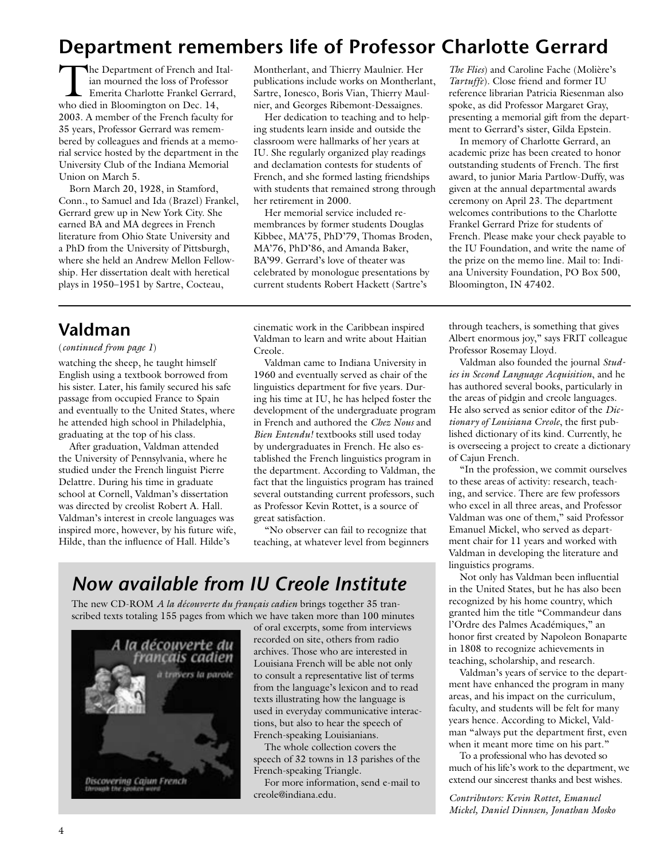# **Department remembers life of Professor Charlotte Gerrard**

The Department of French and Italian mourned the loss of Professor Emerita Charlotte Frankel Gerrard, who died in Bloomington on Dec. 14, 2003. A member of the French faculty for 35 years, Professor Gerrard was remembered by colleagues and friends at a memorial service hosted by the department in the University Club of the Indiana Memorial Union on March 5.

Born March 20, 1928, in Stamford, Conn., to Samuel and Ida (Brazel) Frankel, Gerrard grew up in New York City. She earned BA and MA degrees in French literature from Ohio State University and a PhD from the University of Pittsburgh, where she held an Andrew Mellon Fellowship. Her dissertation dealt with heretical plays in 1950–1951 by Sartre, Cocteau,

### **Valdman**

(*continued from page 1*)

watching the sheep, he taught himself English using a textbook borrowed from his sister. Later, his family secured his safe passage from occupied France to Spain and eventually to the United States, where he attended high school in Philadelphia, graduating at the top of his class.

After graduation, Valdman attended the University of Pennsylvania, where he studied under the French linguist Pierre Delattre. During his time in graduate school at Cornell, Valdman's dissertation was directed by creolist Robert A. Hall. Valdman's interest in creole languages was inspired more, however, by his future wife, Hilde, than the influence of Hall. Hilde's

Montherlant, and Thierry Maulnier. Her publications include works on Montherlant, Sartre, Ionesco, Boris Vian, Thierry Maulnier, and Georges Ribemont-Dessaignes.

Her dedication to teaching and to helping students learn inside and outside the classroom were hallmarks of her years at IU. She regularly organized play readings and declamation contests for students of French, and she formed lasting friendships with students that remained strong through her retirement in 2000.

Her memorial service included remembrances by former students Douglas Kibbee, MA'75, PhD'79, Thomas Broden, MA'76, PhD'86, and Amanda Baker, BA'99. Gerrard's love of theater was celebrated by monologue presentations by current students Robert Hackett (Sartre's

cinematic work in the Caribbean inspired Valdman to learn and write about Haitian Creole.

Valdman came to Indiana University in 1960 and eventually served as chair of the linguistics department for five years. During his time at IU, he has helped foster the development of the undergraduate program in French and authored the *Chez Nous* and *Bien Entendu!* textbooks still used today by undergraduates in French. He also established the French linguistics program in the department. According to Valdman, the fact that the linguistics program has trained several outstanding current professors, such as Professor Kevin Rottet, is a source of great satisfaction.

"No observer can fail to recognize that teaching, at whatever level from beginners

## *Now available from IU Creole Institute*

The new CD-ROM *A la découverte du français cadien* brings together 35 transcribed texts totaling 155 pages from which we have taken more than 100 minutes



of oral excerpts, some from interviews recorded on site, others from radio archives. Those who are interested in Louisiana French will be able not only to consult a representative list of terms from the language's lexicon and to read texts illustrating how the language is used in everyday communicative interactions, but also to hear the speech of French-speaking Louisianians.

The whole collection covers the speech of 32 towns in 13 parishes of the French-speaking Triangle.

For more information, send e-mail to creole@indiana.edu.

*The Flies*) and Caroline Fache (Molière's *Tartuffe*). Close friend and former IU reference librarian Patricia Riesenman also spoke, as did Professor Margaret Gray, presenting a memorial gift from the department to Gerrard's sister, Gilda Epstein.

In memory of Charlotte Gerrard, an academic prize has been created to honor outstanding students of French. The first award, to junior Maria Partlow-Duffy, was given at the annual departmental awards ceremony on April 23. The department welcomes contributions to the Charlotte Frankel Gerrard Prize for students of French. Please make your check payable to the IU Foundation, and write the name of the prize on the memo line. Mail to: Indiana University Foundation, PO Box 500, Bloomington, IN 47402.

through teachers, is something that gives Albert enormous joy," says FRIT colleague Professor Rosemay Lloyd.

Valdman also founded the journal *Studies in Second Language Acquisition*, and he has authored several books, particularly in the areas of pidgin and creole languages. He also served as senior editor of the *Dictionary of Louisiana Creole*, the first published dictionary of its kind. Currently, he is overseeing a project to create a dictionary of Cajun French.

"In the profession, we commit ourselves to these areas of activity: research, teaching, and service. There are few professors who excel in all three areas, and Professor Valdman was one of them," said Professor Emanuel Mickel, who served as department chair for 11 years and worked with Valdman in developing the literature and linguistics programs.

Not only has Valdman been influential in the United States, but he has also been recognized by his home country, which granted him the title "Commandeur dans l'Ordre des Palmes Académiques," an honor first created by Napoleon Bonaparte in 1808 to recognize achievements in teaching, scholarship, and research.

Valdman's years of service to the department have enhanced the program in many areas, and his impact on the curriculum, faculty, and students will be felt for many years hence. According to Mickel, Valdman "always put the department first, even when it meant more time on his part."

To a professional who has devoted so much of his life's work to the department, we extend our sincerest thanks and best wishes.

*Contributors: Kevin Rottet, Emanuel Mickel, Daniel Dinnsen, Jonathan Mosko*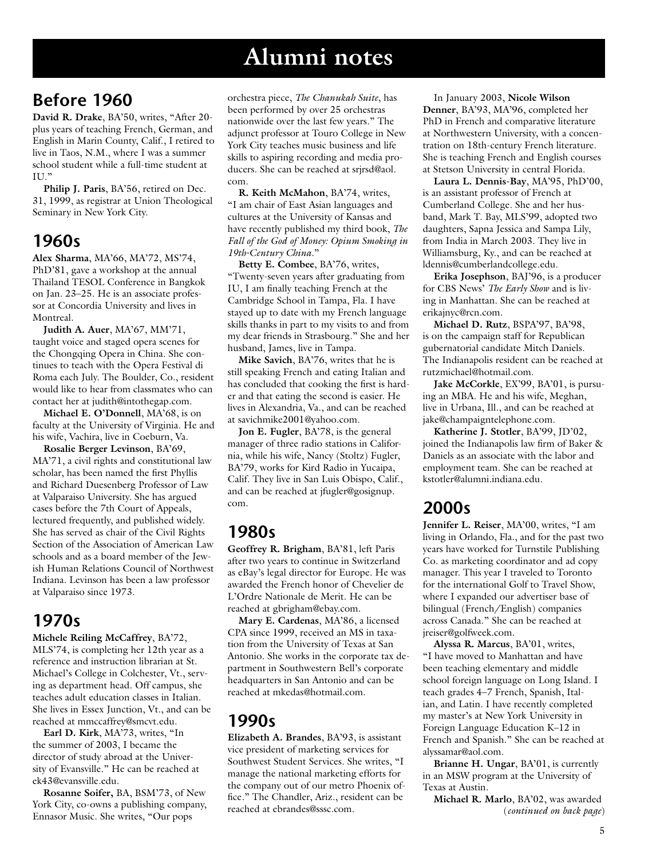# **Alumni notes**

### **Before 1960**

**David R. Drake**, BA'50, writes, "After 20 plus years of teaching French, German, and English in Marin County, Calif., I retired to live in Taos, N.M., where I was a summer school student while a full-time student at II<sub>1</sub>"

**Philip J. Paris**, BA'56, retired on Dec. 31, 1999, as registrar at Union Theological Seminary in New York City.

### **1960s**

**Alex Sharma**, MA'66, MA'72, MS'74, PhD'81, gave a workshop at the annual Thailand TESOL Conference in Bangkok on Jan. 23–25. He is an associate professor at Concordia University and lives in Montreal.

**Judith A. Auer**, MA'67, MM'71, taught voice and staged opera scenes for the Chongqing Opera in China. She continues to teach with the Opera Festival di Roma each July. The Boulder, Co., resident would like to hear from classmates who can contact her at judith@intothegap.com.

**Michael E. O'Donnell**, MA'68, is on faculty at the University of Virginia. He and his wife, Vachira, live in Coeburn, Va.

**Rosalie Berger Levinson**, BA'69, MA'71, a civil rights and constitutional law scholar, has been named the first Phyllis and Richard Duesenberg Professor of Law at Valparaiso University. She has argued cases before the 7th Court of Appeals, lectured frequently, and published widely. She has served as chair of the Civil Rights Section of the Association of American Law schools and as a board member of the Jewish Human Relations Council of Northwest Indiana. Levinson has been a law professor at Valparaiso since 1973.

### **1970s**

**Michele Reiling McCaffrey**, BA'72,

MLS'74, is completing her 12th year as a reference and instruction librarian at St. Michael's College in Colchester, Vt., serving as department head. Off campus, she teaches adult education classes in Italian. She lives in Essex Junction, Vt., and can be reached at mmccaffrey@smcvt.edu.

**Earl D. Kirk**, MA'73, writes, "In the summer of 2003, I became the director of study abroad at the University of Evansville." He can be reached at ek43@evansville.edu.

**Rosanne Soifer,** BA, BSM'73, of New York City, co-owns a publishing company, Ennasor Music. She writes, "Our pops

orchestra piece, *The Chanukah Suite*, has been performed by over 25 orchestras nationwide over the last few years." The adjunct professor at Touro College in New York City teaches music business and life skills to aspiring recording and media producers. She can be reached at srirsd@aol. com.

**R. Keith McMahon**, BA'74, writes, "I am chair of East Asian languages and cultures at the University of Kansas and have recently published my third book, *The Fall of the God of Money: Opium Smoking in 19th-Century China*."

**Betty E. Combee**, BA'76, writes, "Twenty-seven years after graduating from IU, I am finally teaching French at the Cambridge School in Tampa, Fla. I have stayed up to date with my French language skills thanks in part to my visits to and from my dear friends in Strasbourg." She and her husband, James, live in Tampa.

**Mike Savich**, BA'76, writes that he is still speaking French and eating Italian and has concluded that cooking the first is harder and that eating the second is easier. He lives in Alexandria, Va., and can be reached at savichmike2001@yahoo.com.

**Jon E. Fugler**, BA'78, is the general manager of three radio stations in California, while his wife, Nancy (Stoltz) Fugler, BA'79, works for Kird Radio in Yucaipa, Calif. They live in San Luis Obispo, Calif., and can be reached at jfugler@gosignup. com.

### **1980s**

**Geoffrey R. Brigham**, BA'81, left Paris after two years to continue in Switzerland as eBay's legal director for Europe. He was awarded the French honor of Chevelier de L'Ordre Nationale de Merit. He can be reached at gbrigham@ebay.com.

**Mary E. Cardenas**, MA'86, a licensed CPA since 1999, received an MS in taxation from the University of Texas at San Antonio. She works in the corporate tax department in Southwestern Bell's corporate headquarters in San Antonio and can be reached at mkedas@hotmail.com.

### **1990s**

**Elizabeth A. Brandes**, BA'93, is assistant vice president of marketing services for Southwest Student Services. She writes, "I manage the national marketing efforts for the company out of our metro Phoenix office." The Chandler, Ariz., resident can be reached at ebrandes@sssc.com.

In January 2003, **Nicole Wilson Denner**, BA'93, MA'96, completed her PhD in French and comparative literature at Northwestern University, with a concentration on 18th-century French literature. She is teaching French and English courses at Stetson University in central Florida.

**Laura L. Dennis-Bay**, MA'95, PhD'00, is an assistant professor of French at Cumberland College. She and her husband, Mark T. Bay, MLS'99, adopted two daughters, Sapna Jessica and Sampa Lily, from India in March 2003. They live in Williamsburg, Ky., and can be reached at ldennis@cumberlandcollege.edu.

**Erika Josephson**, BAJ'96, is a producer for CBS News' *The Early Show* and is living in Manhattan. She can be reached at erikajnyc@rcn.com.

**Michael D. Rutz**, BSPA'97, BA'98, is on the campaign staff for Republican gubernatorial candidate Mitch Daniels. The Indianapolis resident can be reached at rutzmichael@hotmail.com.

**Jake McCorkle**, EX'99, BA'01, is pursuing an MBA. He and his wife, Meghan, live in Urbana, Ill., and can be reached at jake@champaigntelephone.com.

**Katherine J. Stotler**, BA'99, JD'02, joined the Indianapolis law firm of Baker & Daniels as an associate with the labor and employment team. She can be reached at kstotler@alumni.indiana.edu.

### **2000s**

**Jennifer L. Reiser**, MA'00, writes, "I am living in Orlando, Fla., and for the past two years have worked for Turnstile Publishing Co. as marketing coordinator and ad copy manager. This year I traveled to Toronto for the international Golf to Travel Show, where I expanded our advertiser base of bilingual (French/English) companies across Canada." She can be reached at jreiser@golfweek.com.

**Alyssa R. Marcus**, BA'01, writes, "I have moved to Manhattan and have been teaching elementary and middle school foreign language on Long Island. I teach grades 4–7 French, Spanish, Italian, and Latin. I have recently completed my master's at New York University in Foreign Language Education K–12 in French and Spanish." She can be reached at alyssamar@aol.com.

**Brianne H. Ungar**, BA'01, is currently in an MSW program at the University of Texas at Austin.

**Michael R. Marlo**, BA'02, was awarded (*continued on back page*)